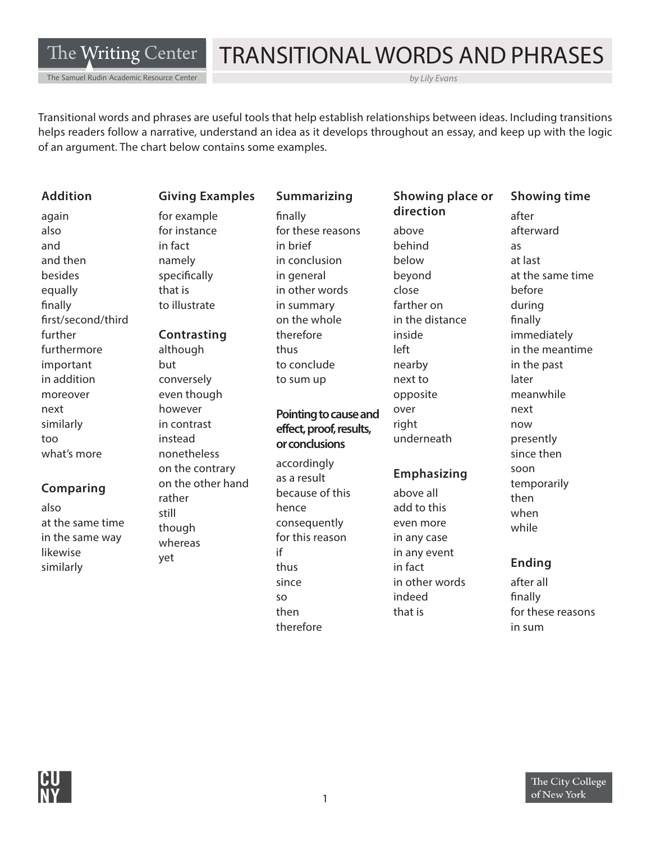The Writing Center

#### The Samuel Rudin Academic Resource Center

# TRANSITIONAL WORDS AND PHRASES

*by Lily Evans* 

Transitional words and phrases are useful tools that help establish relationships between ideas. Including transitions helps readers follow a narrative, understand an idea as it develops throughout an essay, and keep up with the logic of an argument. The chart below contains some examples.

#### **Addition Giving Examples Summarizing Showing place or Showing time**

also for instance for these reasons above afterward and in fact in brief behind as and then **namely** in conclusion below at last equally that is in other words close before finally in to illustrate in summary farther on the during frst/second/third on the whole in the distance fnally further **Contrasting** therefore inside immediately next similarly too

#### **Comparing**

at the same time at the same time though<br>in the same way thoror likewise similarly yet if

furthermore although thus thus left in the meantime important but but to conclude nearby in the past in addition conversely to sum up next to conversely to sum up moreover even though opposite meanwhile however in contrast instead what's more **nonetheless** and the non-theness since then since then on the contrary on the other hand rather also still hence add to this when whereas

again for example fnally **direction** after

#### **Pointing to cause and effect, proof, results, or conclusions**

accordingly as a result because of this consequently for this reason thus since in other words after all so indeed finally therefore in sum in sum

over right underneath

#### **Emphasizing**

above all even more in any case in any event in fact **Ending** 

besides specifically in general beyond at the same time next now presently soon temporarily then while

then that is that is these reasons